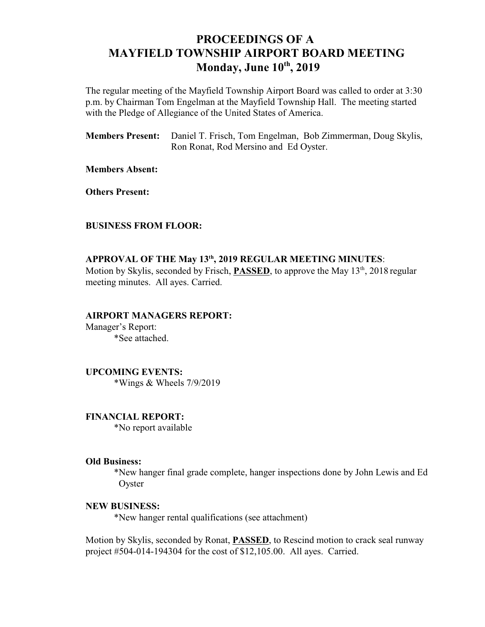# **PROCEEDINGS OF A MAYFIELD TOWNSHIP AIRPORT BOARD MEETING Monday, June 10<sup>th</sup>, 2019**

The regular meeting of the Mayfield Township Airport Board was called to order at 3:30 p.m. by Chairman Tom Engelman at the Mayfield Township Hall. The meeting started with the Pledge of Allegiance of the United States of America.

**Members Present:** Daniel T. Frisch, Tom Engelman, Bob Zimmerman, Doug Skylis, Ron Ronat, Rod Mersino and Ed Oyster.

**Members Absent:**

**Others Present:**

### **BUSINESS FROM FLOOR:**

## **APPROVAL OF THE May 13 , 2019 REGULAR MEETING MINUTES**: **th**

Motion by Skylis, seconded by Frisch, **PASSED**, to approve the May 13<sup>th</sup>, 2018 regular meeting minutes. All ayes. Carried.

### **AIRPORT MANAGERS REPORT:**

Manager's Report: \*See attached.

**UPCOMING EVENTS:** \*Wings & Wheels 7/9/2019

**FINANCIAL REPORT:** \*No report available

#### **Old Business:**

\*New hanger final grade complete, hanger inspections done by John Lewis and Ed **Oyster** 

#### **NEW BUSINESS:**

\*New hanger rental qualifications (see attachment)

Motion by Skylis, seconded by Ronat, **PASSED**, to Rescind motion to crack seal runway project #504-014-194304 for the cost of \$12,105.00. All ayes. Carried.